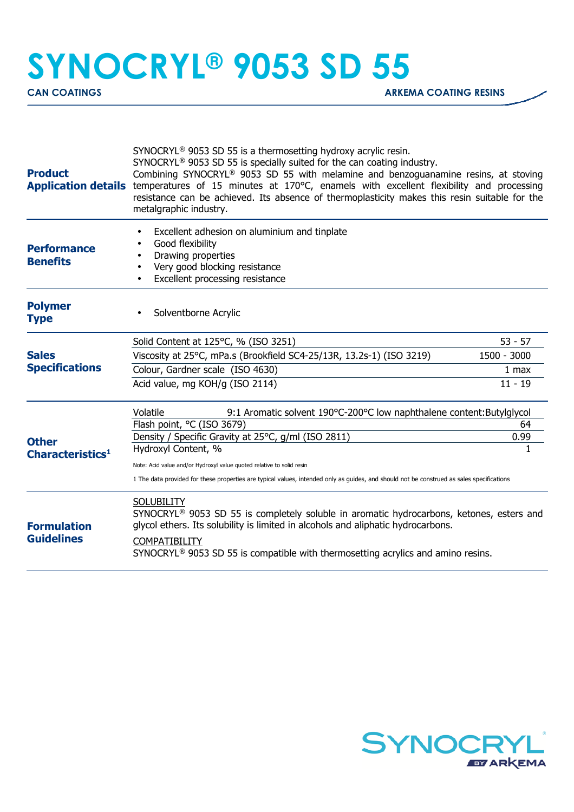## **SYNOCRYL® 9053 SD 55**

| <b>Product</b>                        | SYNOCRYL <sup>®</sup> 9053 SD 55 is a thermosetting hydroxy acrylic resin.<br>SYNOCRYL <sup>®</sup> 9053 SD 55 is specially suited for the can coating industry.<br>Combining SYNOCRYL <sup>®</sup> 9053 SD 55 with melamine and benzoguanamine resins, at stoving<br>Application details temperatures of 15 minutes at 170°C, enamels with excellent flexibility and processing<br>resistance can be achieved. Its absence of thermoplasticity makes this resin suitable for the<br>metalgraphic industry. |             |  |
|---------------------------------------|-------------------------------------------------------------------------------------------------------------------------------------------------------------------------------------------------------------------------------------------------------------------------------------------------------------------------------------------------------------------------------------------------------------------------------------------------------------------------------------------------------------|-------------|--|
| <b>Performance</b><br><b>Benefits</b> | Excellent adhesion on aluminium and tinplate<br>Good flexibility<br>Drawing properties<br>Very good blocking resistance<br>Excellent processing resistance                                                                                                                                                                                                                                                                                                                                                  |             |  |
| <b>Polymer</b><br><b>Type</b>         | Solventborne Acrylic                                                                                                                                                                                                                                                                                                                                                                                                                                                                                        |             |  |
|                                       | Solid Content at 125°C, % (ISO 3251)                                                                                                                                                                                                                                                                                                                                                                                                                                                                        | $53 - 57$   |  |
| <b>Sales</b>                          | Viscosity at 25°C, mPa.s (Brookfield SC4-25/13R, 13.2s-1) (ISO 3219)                                                                                                                                                                                                                                                                                                                                                                                                                                        | 1500 - 3000 |  |
| <b>Specifications</b>                 | Colour, Gardner scale (ISO 4630)                                                                                                                                                                                                                                                                                                                                                                                                                                                                            | 1 max       |  |
|                                       | Acid value, mg KOH/g (ISO 2114)                                                                                                                                                                                                                                                                                                                                                                                                                                                                             | $11 - 19$   |  |
|                                       | Volatile<br>9:1 Aromatic solvent 190°C-200°C low naphthalene content: Butylglycol                                                                                                                                                                                                                                                                                                                                                                                                                           |             |  |
|                                       | Flash point, °C (ISO 3679)                                                                                                                                                                                                                                                                                                                                                                                                                                                                                  | 64          |  |
| <b>Other</b>                          | Density / Specific Gravity at 25°C, g/ml (ISO 2811)                                                                                                                                                                                                                                                                                                                                                                                                                                                         | 0.99        |  |
| Characteristics <sup>1</sup>          | Hydroxyl Content, %                                                                                                                                                                                                                                                                                                                                                                                                                                                                                         |             |  |
|                                       | Note: Acid value and/or Hydroxyl value quoted relative to solid resin                                                                                                                                                                                                                                                                                                                                                                                                                                       |             |  |
| <b>Formulation</b>                    | 1 The data provided for these properties are typical values, intended only as guides, and should not be construed as sales specifications                                                                                                                                                                                                                                                                                                                                                                   |             |  |
|                                       | <b>SOLUBILITY</b><br>SYNOCRYL <sup>®</sup> 9053 SD 55 is completely soluble in aromatic hydrocarbons, ketones, esters and<br>glycol ethers. Its solubility is limited in alcohols and aliphatic hydrocarbons.                                                                                                                                                                                                                                                                                               |             |  |
| <b>Guidelines</b>                     | <b>COMPATIBILITY</b><br>SYNOCRYL <sup>®</sup> 9053 SD 55 is compatible with thermosetting acrylics and amino resins.                                                                                                                                                                                                                                                                                                                                                                                        |             |  |